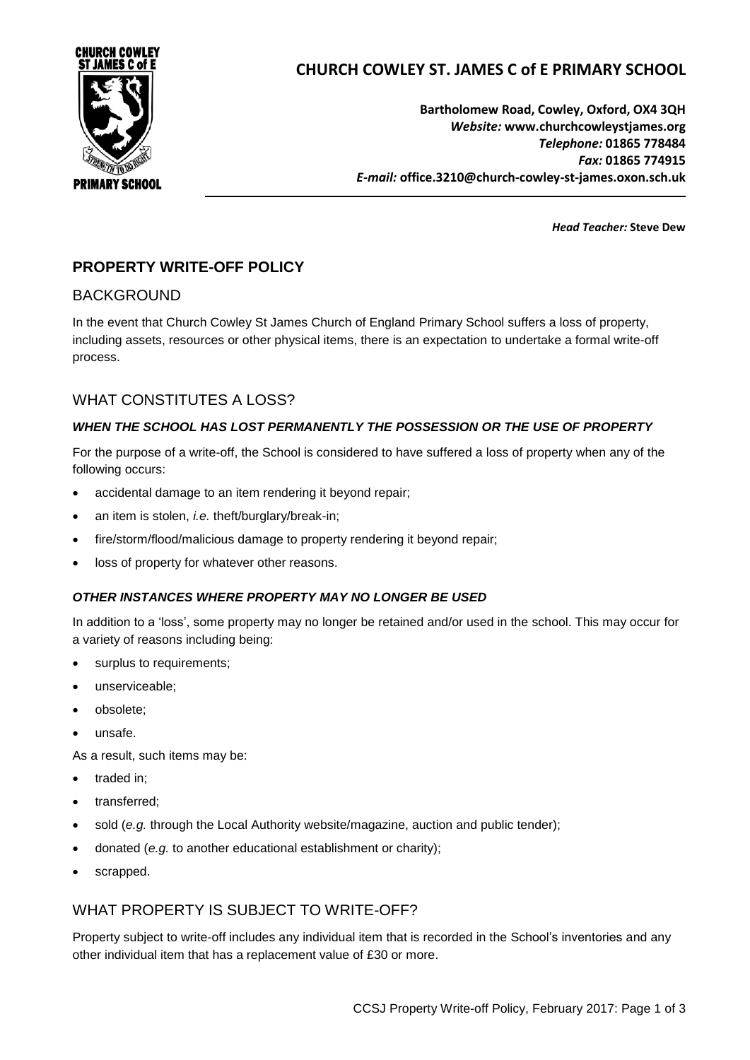

# **CHURCH COWLEY ST. JAMES C of E PRIMARY SCHOOL**

**Bartholomew Road, Cowley, Oxford, OX4 3QH** *Website:* **www[.churchcowleystjames.org](mailto:office.3210@church-cowley-st-james.oxon.sch.uk)** *Telephone:* **01865 778484** *Fax:* **01865 774915** *E-mail:* **office.3210@church-cowley-st-james.oxon.sch.uk**

*Head Teacher:* **Steve Dew**

# **PROPERTY WRITE-OFF POLICY**

### BACKGROUND

In the event that Church Cowley St James Church of England Primary School suffers a loss of property, including assets, resources or other physical items, there is an expectation to undertake a formal write-off process.

### WHAT CONSTITUTES A LOSS?

#### *WHEN THE SCHOOL HAS LOST PERMANENTLY THE POSSESSION OR THE USE OF PROPERTY*

For the purpose of a write-off, the School is considered to have suffered a loss of property when any of the following occurs:

- accidental damage to an item rendering it beyond repair;
- an item is stolen, *i.e.* theft/burglary/break-in;
- fire/storm/flood/malicious damage to property rendering it beyond repair;
- **.** loss of property for whatever other reasons.

#### *OTHER INSTANCES WHERE PROPERTY MAY NO LONGER BE USED*

In addition to a 'loss', some property may no longer be retained and/or used in the school. This may occur for a variety of reasons including being:

- surplus to requirements;
- unserviceable;
- obsolete;
- unsafe.

As a result, such items may be:

- traded in:
- transferred;
- sold (*e.g.* through the Local Authority website/magazine, auction and public tender);
- donated (*e.g.* to another educational establishment or charity);
- scrapped.

# WHAT PROPERTY IS SUBJECT TO WRITE-OFF?

Property subject to write-off includes any individual item that is recorded in the School's inventories and any other individual item that has a replacement value of £30 or more.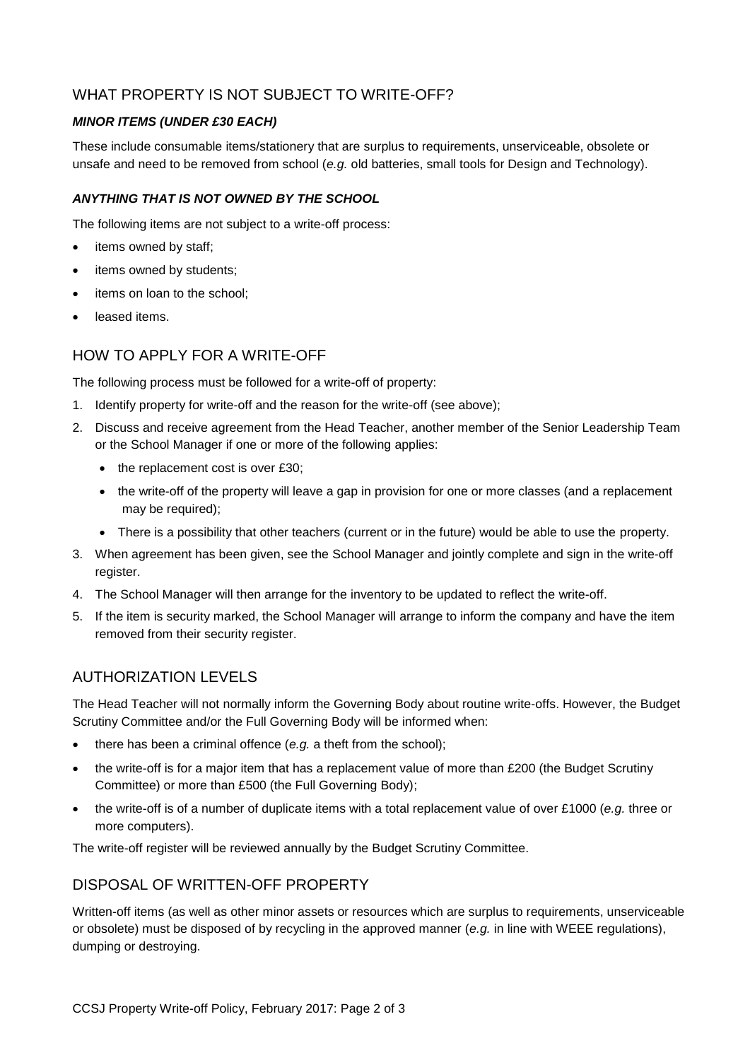# WHAT PROPERTY IS NOT SUBJECT TO WRITE-OFF?

#### *MINOR ITEMS (UNDER £30 EACH)*

These include consumable items/stationery that are surplus to requirements, unserviceable, obsolete or unsafe and need to be removed from school (*e.g.* old batteries, small tools for Design and Technology).

#### *ANYTHING THAT IS NOT OWNED BY THE SCHOOL*

The following items are not subject to a write-off process:

- items owned by staff;
- items owned by students;
- items on loan to the school;
- leased items.

### HOW TO APPLY FOR A WRITE-OFF

The following process must be followed for a write-off of property:

- 1. Identify property for write-off and the reason for the write-off (see above);
- 2. Discuss and receive agreement from the Head Teacher, another member of the Senior Leadership Team or the School Manager if one or more of the following applies:
	- $\bullet$  the replacement cost is over £30;
	- the write-off of the property will leave a gap in provision for one or more classes (and a replacement may be required);
	- There is a possibility that other teachers (current or in the future) would be able to use the property.
- 3. When agreement has been given, see the School Manager and jointly complete and sign in the write-off register.
- 4. The School Manager will then arrange for the inventory to be updated to reflect the write-off.
- 5. If the item is security marked, the School Manager will arrange to inform the company and have the item removed from their security register.

# AUTHORIZATION LEVELS

The Head Teacher will not normally inform the Governing Body about routine write-offs. However, the Budget Scrutiny Committee and/or the Full Governing Body will be informed when:

- there has been a criminal offence (*e.g.* a theft from the school);
- the write-off is for a major item that has a replacement value of more than £200 (the Budget Scrutiny Committee) or more than £500 (the Full Governing Body);
- the write-off is of a number of duplicate items with a total replacement value of over £1000 (*e.g.* three or more computers).

The write-off register will be reviewed annually by the Budget Scrutiny Committee.

### DISPOSAL OF WRITTEN-OFF PROPERTY

Written-off items (as well as other minor assets or resources which are surplus to requirements, unserviceable or obsolete) must be disposed of by recycling in the approved manner (*e.g.* in line with WEEE regulations), dumping or destroying.